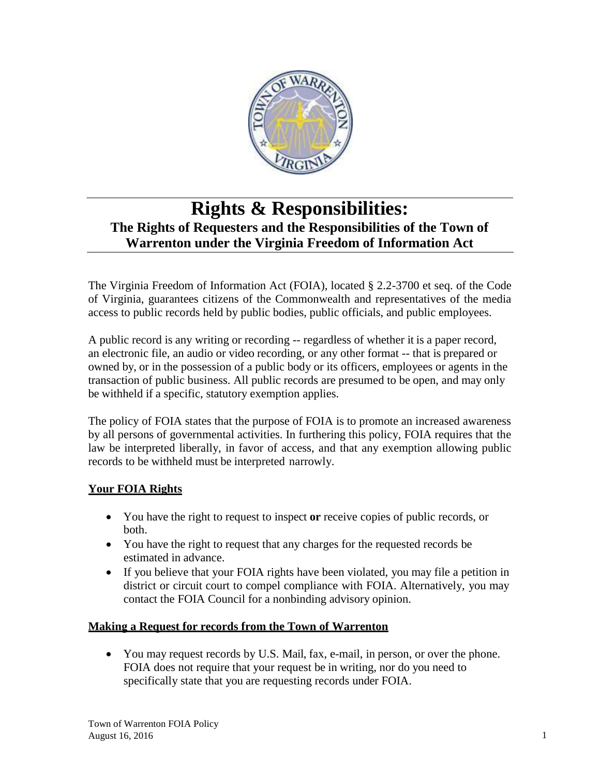

# **Rights & Responsibilities: The Rights of Requesters and the Responsibilities of the Town of Warrenton under the Virginia Freedom of Information Act**

The Virginia Freedom of Information Act (FOIA), located § 2.2-3700 et seq. of the Code of Virginia, guarantees citizens of the Commonwealth and representatives of the media access to public records held by public bodies, public officials, and public employees.

A public record is any writing or recording -- regardless of whether it is a paper record, an electronic file, an audio or video recording, or any other format -- that is prepared or owned by, or in the possession of a public body or its officers, employees or agents in the transaction of public business. All public records are presumed to be open, and may only be withheld if a specific, statutory exemption applies.

The policy of FOIA states that the purpose of FOIA is to promote an increased awareness by all persons of governmental activities. In furthering this policy, FOIA requires that the law be interpreted liberally, in favor of access, and that any exemption allowing public records to be withheld must be interpreted narrowly.

## **Your FOIA Rights**

- You have the right to request to inspect **or** receive copies of public records, or both.
- You have the right to request that any charges for the requested records be estimated in advance.
- If you believe that your FOIA rights have been violated, you may file a petition in district or circuit court to compel compliance with FOIA. Alternatively, you may contact the FOIA Council for a nonbinding advisory opinion.

#### **Making a Request for records from the Town of Warrenton**

 You may request records by U.S. Mail, fax, e-mail, in person, or over the phone. FOIA does not require that your request be in writing, nor do you need to specifically state that you are requesting records under FOIA.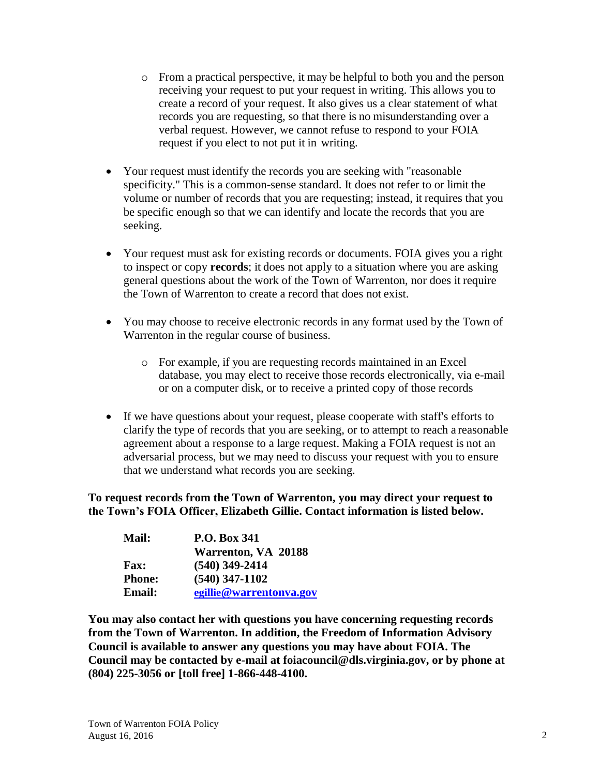- o From a practical perspective, it may be helpful to both you and the person receiving your request to put your request in writing. This allows you to create a record of your request. It also gives us a clear statement of what records you are requesting, so that there is no misunderstanding over a verbal request. However, we cannot refuse to respond to your FOIA request if you elect to not put it in writing.
- Your request must identify the records you are seeking with "reasonable specificity." This is a common-sense standard. It does not refer to or limit the volume or number of records that you are requesting; instead, it requires that you be specific enough so that we can identify and locate the records that you are seeking.
- Your request must ask for existing records or documents. FOIA gives you a right to inspect or copy **records**; it does not apply to a situation where you are asking general questions about the work of the Town of Warrenton, nor does it require the Town of Warrenton to create a record that does not exist.
- You may choose to receive electronic records in any format used by the Town of Warrenton in the regular course of business.
	- o For example, if you are requesting records maintained in an Excel database, you may elect to receive those records electronically, via e-mail or on a computer disk, or to receive a printed copy of those records
- If we have questions about your request, please cooperate with staff's efforts to clarify the type of records that you are seeking, or to attempt to reach a reasonable agreement about a response to a large request. Making a FOIA request is not an adversarial process, but we may need to discuss your request with you to ensure that we understand what records you are seeking.

#### **To request records from the Town of Warrenton, you may direct your request to the Town's FOIA Officer, Elizabeth Gillie. Contact information is listed below.**

| <b>Mail:</b>  | <b>P.O. Box 341</b>     |
|---------------|-------------------------|
|               | Warrenton, VA 20188     |
| <b>Fax:</b>   | $(540)$ 349-2414        |
| <b>Phone:</b> | $(540)$ 347-1102        |
| <b>Email:</b> | egillie@warrentonva.gov |

**You may also contact her with questions you have concerning requesting records from the Town of Warrenton. In addition, the Freedom of Information Advisory Council is available to answer any questions you may have about FOIA. The Council may be contacted by e-mail at [foiacouncil@dls.virginia.gov, o](mailto:foiacouncil@dls.virginia.gov)r by phone at (804) 225-3056 or [toll free] 1-866-448-4100.**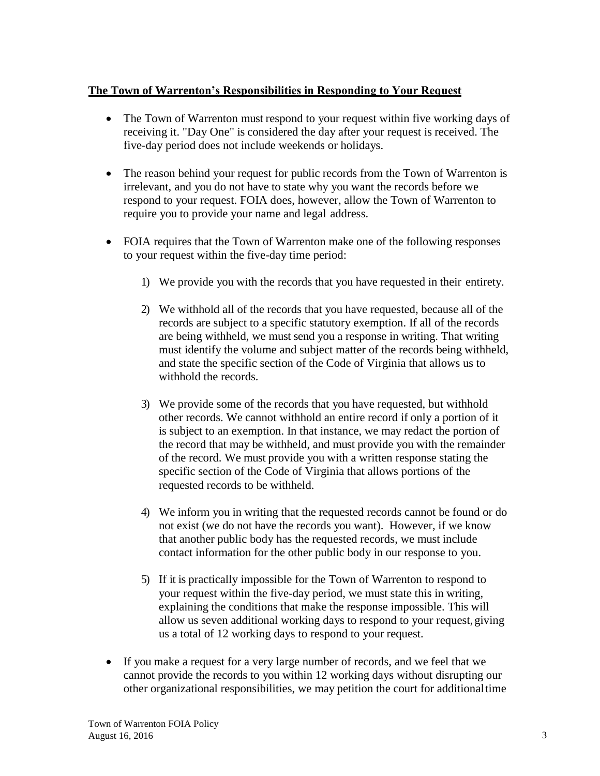#### **The Town of Warrenton's Responsibilities in Responding to Your Request**

- The Town of Warrenton must respond to your request within five working days of receiving it. "Day One" is considered the day after your request is received. The five-day period does not include weekends or holidays.
- The reason behind your request for public records from the Town of Warrenton is irrelevant, and you do not have to state why you want the records before we respond to your request. FOIA does, however, allow the Town of Warrenton to require you to provide your name and legal address.
- FOIA requires that the Town of Warrenton make one of the following responses to your request within the five-day time period:
	- 1) We provide you with the records that you have requested in their entirety.
	- 2) We withhold all of the records that you have requested, because all of the records are subject to a specific statutory exemption. If all of the records are being withheld, we must send you a response in writing. That writing must identify the volume and subject matter of the records being withheld, and state the specific section of the Code of Virginia that allows us to withhold the records.
	- 3) We provide some of the records that you have requested, but withhold other records. We cannot withhold an entire record if only a portion of it is subject to an exemption. In that instance, we may redact the portion of the record that may be withheld, and must provide you with the remainder of the record. We must provide you with a written response stating the specific section of the Code of Virginia that allows portions of the requested records to be withheld.
	- 4) We inform you in writing that the requested records cannot be found or do not exist (we do not have the records you want). However, if we know that another public body has the requested records, we must include contact information for the other public body in our response to you.
	- 5) If it is practically impossible for the Town of Warrenton to respond to your request within the five-day period, we must state this in writing, explaining the conditions that make the response impossible. This will allow us seven additional working days to respond to your request, giving us a total of 12 working days to respond to your request.
- If you make a request for a very large number of records, and we feel that we cannot provide the records to you within 12 working days without disrupting our other organizational responsibilities, we may petition the court for additionaltime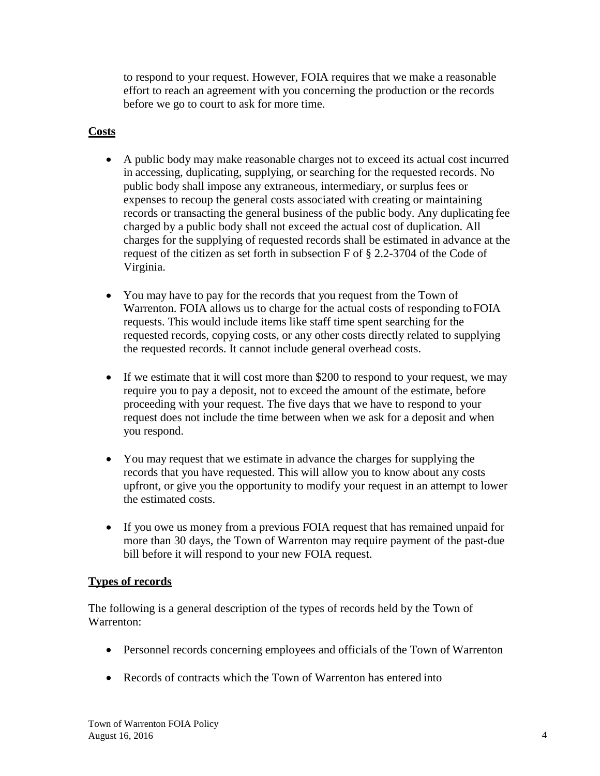to respond to your request. However, FOIA requires that we make a reasonable effort to reach an agreement with you concerning the production or the records before we go to court to ask for more time.

### **Costs**

- A public body may make reasonable charges not to exceed its actual cost incurred in accessing, duplicating, supplying, or searching for the requested records. No public body shall impose any extraneous, intermediary, or surplus fees or expenses to recoup the general costs associated with creating or maintaining records or transacting the general business of the public body. Any duplicating fee charged by a public body shall not exceed the actual cost of duplication. All charges for the supplying of requested records shall be estimated in advance at the request of the citizen as set forth in subsection F of § 2.2-3704 of the Code of Virginia.
- You may have to pay for the records that you request from the Town of Warrenton. FOIA allows us to charge for the actual costs of responding toFOIA requests. This would include items like staff time spent searching for the requested records, copying costs, or any other costs directly related to supplying the requested records. It cannot include general overhead costs.
- If we estimate that it will cost more than \$200 to respond to your request, we may require you to pay a deposit, not to exceed the amount of the estimate, before proceeding with your request. The five days that we have to respond to your request does not include the time between when we ask for a deposit and when you respond.
- You may request that we estimate in advance the charges for supplying the records that you have requested. This will allow you to know about any costs upfront, or give you the opportunity to modify your request in an attempt to lower the estimated costs.
- If you owe us money from a previous FOIA request that has remained unpaid for more than 30 days, the Town of Warrenton may require payment of the past-due bill before it will respond to your new FOIA request.

#### **Types of records**

The following is a general description of the types of records held by the Town of Warrenton:

- Personnel records concerning employees and officials of the Town of Warrenton
- Records of contracts which the Town of Warrenton has entered into